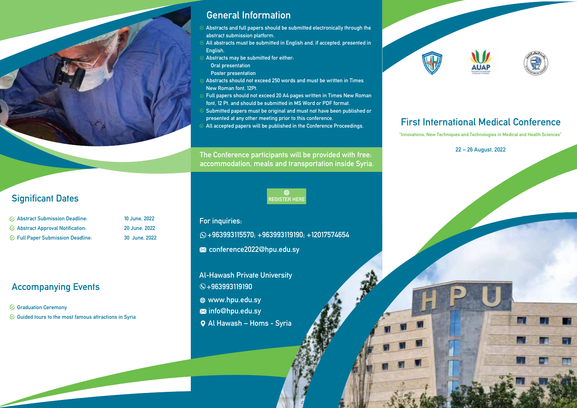## General Information

- Abstracts and full papers should be submitted electronically through the abstract submission platform.
- All abstracts must be submitted in English and, if accepted, presented in English.
- Abstracts may be submitted for either:
- Oral presentation
- Poster presentation
- Abstracts should not exceed 250 words and must be written in Times New Roman font, 12Pt.
- Full papers should not exceed 20 A4 pages written in Times New Roman font, 12 Pt. and should be submitted in MS Word or PDF format.
- Submitted papers must be original and must not have been published or presented at any other meeting prior to this conference.
- All accepted papers will be published in the Conference Proceedings.

The Conference participants will be provided with free: accommodation, meals and transportation inside Syria.



## Significant Dates

| $\varnothing$ Abstract Submission Deadline:    |
|------------------------------------------------|
| $\mathfrak{S}$ Abstract Approval Notification: |
| $\mathcal G$ Full Paper Submission Deadline:   |

### 10 June, 2022 Abstract Approval Notification: 20 June, 2022 Full Paper Submission Deadline: 30 June, 2022

## Accompanying Events

 $G$  Graduation Ceremony

 $\mathcal G$  Guided tours to the most famous attractions in Syria

## For inquiries:

- +963993115570; +963993119190; +12017574654
- **X** conference2022@hpu.edu.sy
- Al-Hawash Private University
- +963993119190
- www.hpu.edu.sy
- **X** info@hpu.edu.sy
- Al Hawash Homs Syria





# First International Medical Conference

"Innovations, New Techniques and Technologies in Medical and Health Sciences"

22 – 26 August, 2022